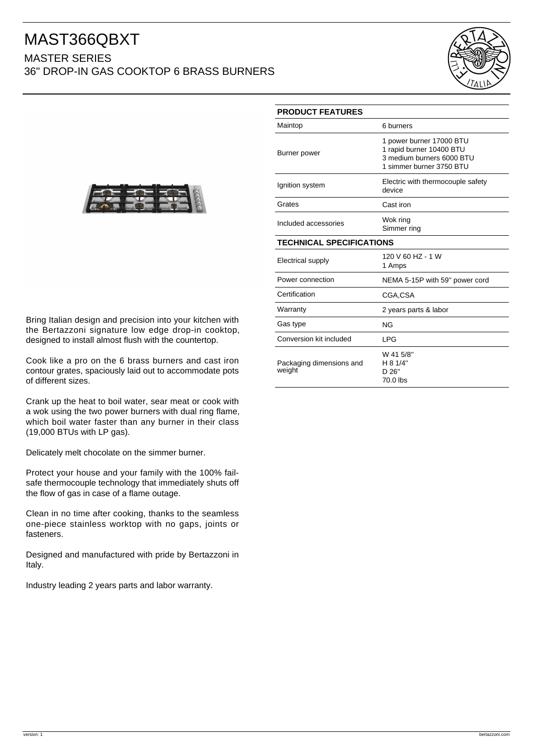## MAST366QBXT

## MASTER SERIES 36" DROP-IN GAS COOKTOP 6 BRASS BURNERS





Bring Italian design and precision into your kitchen with the Bertazzoni signature low edge drop-in cooktop, designed to install almost flush with the countertop.

Cook like a pro on the 6 brass burners and cast iron contour grates, spaciously laid out to accommodate pots of different sizes.

Crank up the heat to boil water, sear meat or cook with a wok using the two power burners with dual ring flame, which boil water faster than any burner in their class (19,000 BTUs with LP gas).

Delicately melt chocolate on the simmer burner.

Protect your house and your family with the 100% failsafe thermocouple technology that immediately shuts off the flow of gas in case of a flame outage.

Clean in no time after cooking, thanks to the seamless one-piece stainless worktop with no gaps, joints or fasteners.

Designed and manufactured with pride by Bertazzoni in Italy.

Industry leading 2 years parts and labor warranty.

| <b>PRODUCT FEATURES</b>            |                                                                                                               |
|------------------------------------|---------------------------------------------------------------------------------------------------------------|
| Maintop                            | 6 burners                                                                                                     |
| Burner power                       | 1 power burner 17000 BTU<br>1 rapid burner 10400 BTU<br>3 medium burners 6000 BTU<br>1 simmer burner 3750 BTU |
| Ignition system                    | Electric with thermocouple safety<br>device                                                                   |
| Grates                             | Cast iron                                                                                                     |
| Included accessories               | Wok ring<br>Simmer ring                                                                                       |
| <b>TECHNICAL SPECIFICATIONS</b>    |                                                                                                               |
| Electrical supply                  | 120 V 60 HZ - 1 W<br>1 Amps                                                                                   |
| Power connection                   | NEMA 5-15P with 59" power cord                                                                                |
| Certification                      | CGA.CSA                                                                                                       |
| Warranty                           | 2 years parts & labor                                                                                         |
| Gas type                           | <b>NG</b>                                                                                                     |
| Conversion kit included            | <b>LPG</b>                                                                                                    |
| Packaging dimensions and<br>weight | W 41 5/8"<br>H 8 1/4"<br>D 26"<br>70.0 lbs                                                                    |